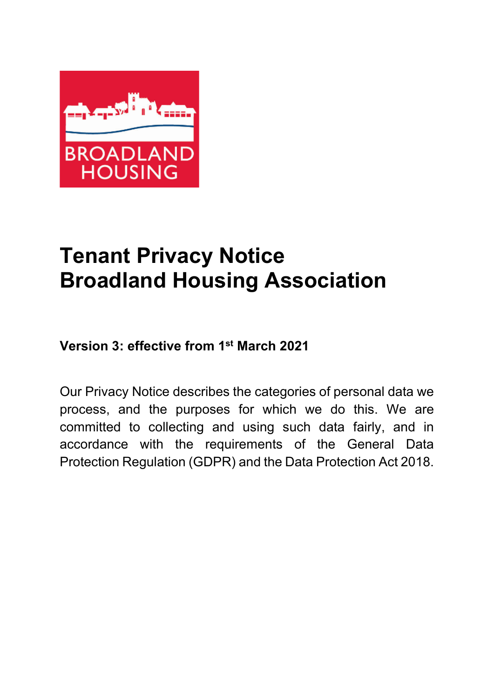

# **Tenant Privacy Notice Broadland Housing Association**

# **Version 3: effective from 1st March 2021**

Our Privacy Notice describes the categories of personal data we process, and the purposes for which we do this. We are committed to collecting and using such data fairly, and in accordance with the requirements of the General Data Protection Regulation (GDPR) and the Data Protection Act 2018.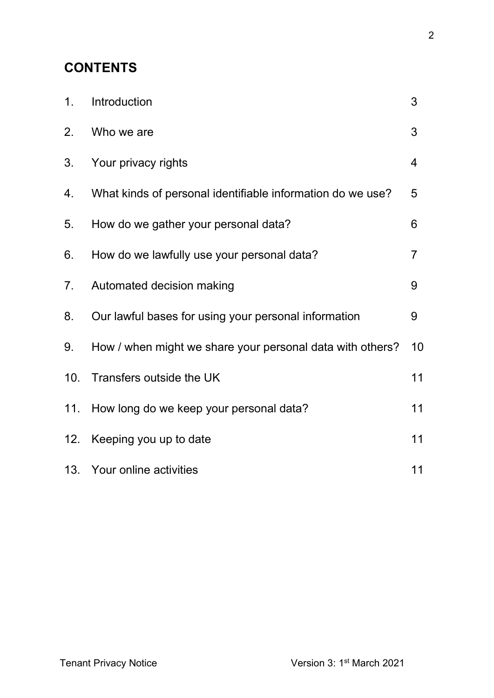# **CONTENTS**

| 1 <sub>1</sub> | Introduction                                               | 3              |
|----------------|------------------------------------------------------------|----------------|
| 2.             | Who we are                                                 | 3              |
| 3.             | Your privacy rights                                        | 4              |
| 4.             | What kinds of personal identifiable information do we use? | 5              |
| 5.             | How do we gather your personal data?                       | 6              |
| 6.             | How do we lawfully use your personal data?                 | $\overline{7}$ |
| 7 <sub>1</sub> | Automated decision making                                  | 9              |
| 8.             | Our lawful bases for using your personal information       | 9              |
| 9.             | How / when might we share your personal data with others?  | 10             |
| 10.            | Transfers outside the UK                                   | 11             |
| 11.            | How long do we keep your personal data?                    | 11             |
| 12.            | Keeping you up to date                                     | 11             |
|                | 13. Your online activities                                 | 11             |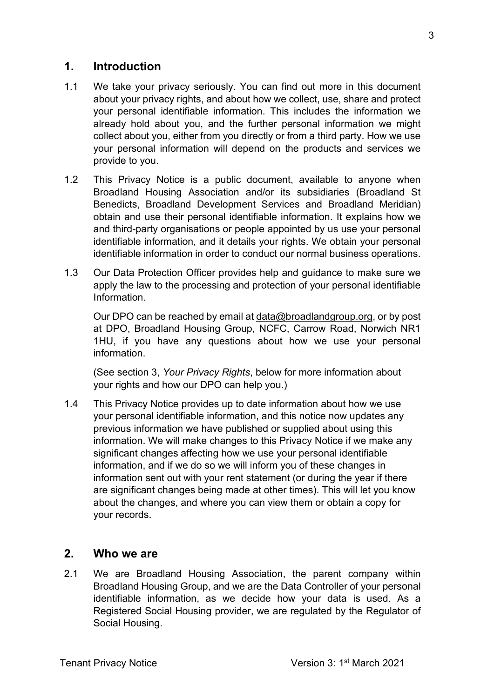#### **1. Introduction**

- 1.1 We take your privacy seriously. You can find out more in this document about your privacy rights, and about how we collect, use, share and protect your personal identifiable information. This includes the information we already hold about you, and the further personal information we might collect about you, either from you directly or from a third party. How we use your personal information will depend on the products and services we provide to you.
- 1.2 This Privacy Notice is a public document, available to anyone when Broadland Housing Association and/or its subsidiaries (Broadland St Benedicts, Broadland Development Services and Broadland Meridian) obtain and use their personal identifiable information. It explains how we and third-party organisations or people appointed by us use your personal identifiable information, and it details your rights. We obtain your personal identifiable information in order to conduct our normal business operations.
- 1.3 Our Data Protection Officer provides help and guidance to make sure we apply the law to the processing and protection of your personal identifiable Information.

Our DPO can be reached by email at [data@broadlandgroup.org,](mailto:data@broadlandgroup.org) or by post at DPO, Broadland Housing Group, NCFC, Carrow Road, Norwich NR1 1HU, if you have any questions about how we use your personal information.

(See section 3, *Your Privacy Rights*, below for more information about your rights and how our DPO can help you.)

1.4 This Privacy Notice provides up to date information about how we use your personal identifiable information, and this notice now updates any previous information we have published or supplied about using this information. We will make changes to this Privacy Notice if we make any significant changes affecting how we use your personal identifiable information, and if we do so we will inform you of these changes in information sent out with your rent statement (or during the year if there are significant changes being made at other times). This will let you know about the changes, and where you can view them or obtain a copy for your records.

#### **2. Who we are**

2.1 We are Broadland Housing Association, the parent company within Broadland Housing Group, and we are the Data Controller of your personal identifiable information, as we decide how your data is used. As a Registered Social Housing provider, we are regulated by the Regulator of Social Housing.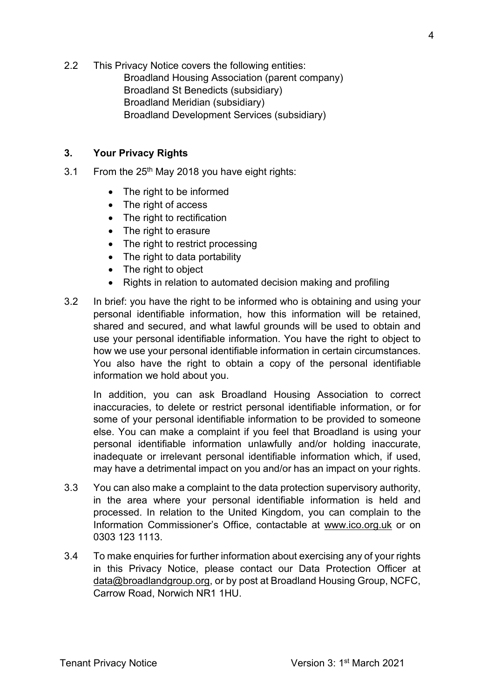2.2 This Privacy Notice covers the following entities: Broadland Housing Association (parent company) Broadland St Benedicts (subsidiary) Broadland Meridian (subsidiary) Broadland Development Services (subsidiary)

#### **3. Your Privacy Rights**

- 3.1 From the  $25<sup>th</sup>$  May 2018 you have eight rights:
	- The right to be informed
	- The right of access
	- The right to rectification
	- The right to erasure
	- The right to restrict processing
	- The right to data portability
	- The right to object
	- Rights in relation to automated decision making and profiling
- 3.2 In brief: you have the right to be informed who is obtaining and using your personal identifiable information, how this information will be retained, shared and secured, and what lawful grounds will be used to obtain and use your personal identifiable information. You have the right to object to how we use your personal identifiable information in certain circumstances. You also have the right to obtain a copy of the personal identifiable information we hold about you.

In addition, you can ask Broadland Housing Association to correct inaccuracies, to delete or restrict personal identifiable information, or for some of your personal identifiable information to be provided to someone else. You can make a complaint if you feel that Broadland is using your personal identifiable information unlawfully and/or holding inaccurate, inadequate or irrelevant personal identifiable information which, if used, may have a detrimental impact on you and/or has an impact on your rights.

- 3.3 You can also make a complaint to the data protection supervisory authority, in the area where your personal identifiable information is held and processed. In relation to the United Kingdom, you can complain to the Information Commissioner's Office, contactable at [www.ico.org.uk](http://www.ico.org.uk/) or on 0303 123 1113.
- 3.4 To make enquiries for further information about exercising any of your rights in this Privacy Notice, please contact our Data Protection Officer at [data@broadlandgroup.org,](mailto:data@broadlandgroup.org) or by post at Broadland Housing Group, NCFC, Carrow Road, Norwich NR1 1HU.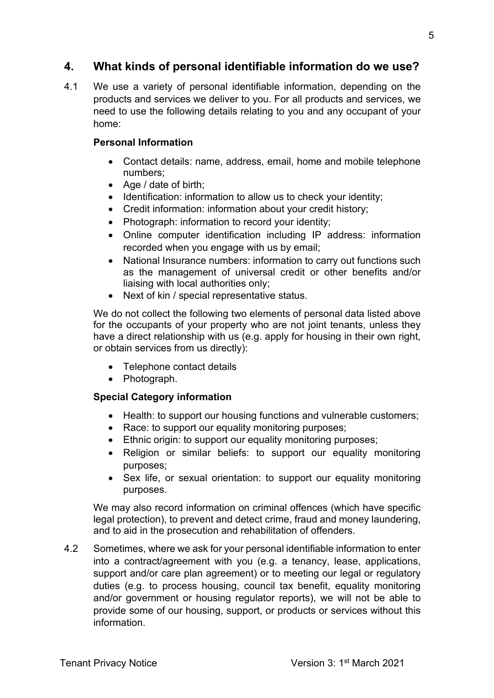#### **4. What kinds of personal identifiable information do we use?**

4.1 We use a variety of personal identifiable information, depending on the products and services we deliver to you. For all products and services, we need to use the following details relating to you and any occupant of your home:

#### **Personal Information**

- Contact details: name, address, email, home and mobile telephone numbers;
- Age / date of birth;
- Identification: information to allow us to check your identity;
- Credit information: information about your credit history;
- Photograph: information to record your identity;
- Online computer identification including IP address: information recorded when you engage with us by email;
- National Insurance numbers: information to carry out functions such as the management of universal credit or other benefits and/or liaising with local authorities only;
- Next of kin / special representative status.

We do not collect the following two elements of personal data listed above for the occupants of your property who are not joint tenants, unless they have a direct relationship with us (e.g. apply for housing in their own right, or obtain services from us directly):

- Telephone contact details
- Photograph.

#### **Special Category information**

- Health: to support our housing functions and vulnerable customers;
- Race: to support our equality monitoring purposes;
- Ethnic origin: to support our equality monitoring purposes;
- Religion or similar beliefs: to support our equality monitoring purposes;
- Sex life, or sexual orientation: to support our equality monitoring purposes.

We may also record information on criminal offences (which have specific legal protection), to prevent and detect crime, fraud and money laundering, and to aid in the prosecution and rehabilitation of offenders.

4.2 Sometimes, where we ask for your personal identifiable information to enter into a contract/agreement with you (e.g. a tenancy, lease, applications, support and/or care plan agreement) or to meeting our legal or regulatory duties (e.g. to process housing, council tax benefit, equality monitoring and/or government or housing regulator reports), we will not be able to provide some of our housing, support, or products or services without this information.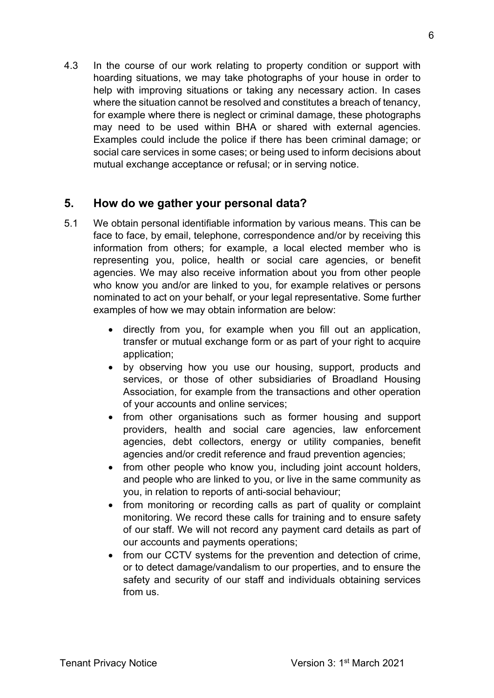4.3 In the course of our work relating to property condition or support with hoarding situations, we may take photographs of your house in order to help with improving situations or taking any necessary action. In cases where the situation cannot be resolved and constitutes a breach of tenancy, for example where there is neglect or criminal damage, these photographs may need to be used within BHA or shared with external agencies. Examples could include the police if there has been criminal damage; or social care services in some cases; or being used to inform decisions about mutual exchange acceptance or refusal; or in serving notice.

#### **5. How do we gather your personal data?**

- 5.1 We obtain personal identifiable information by various means. This can be face to face, by email, telephone, correspondence and/or by receiving this information from others; for example, a local elected member who is representing you, police, health or social care agencies, or benefit agencies. We may also receive information about you from other people who know you and/or are linked to you, for example relatives or persons nominated to act on your behalf, or your legal representative. Some further examples of how we may obtain information are below:
	- directly from you, for example when you fill out an application, transfer or mutual exchange form or as part of your right to acquire application;
	- by observing how you use our housing, support, products and services, or those of other subsidiaries of Broadland Housing Association, for example from the transactions and other operation of your accounts and online services;
	- from other organisations such as former housing and support providers, health and social care agencies, law enforcement agencies, debt collectors, energy or utility companies, benefit agencies and/or credit reference and fraud prevention agencies;
	- from other people who know you, including joint account holders, and people who are linked to you, or live in the same community as you, in relation to reports of anti-social behaviour;
	- from monitoring or recording calls as part of quality or complaint monitoring. We record these calls for training and to ensure safety of our staff. We will not record any payment card details as part of our accounts and payments operations;
	- from our CCTV systems for the prevention and detection of crime, or to detect damage/vandalism to our properties, and to ensure the safety and security of our staff and individuals obtaining services from us.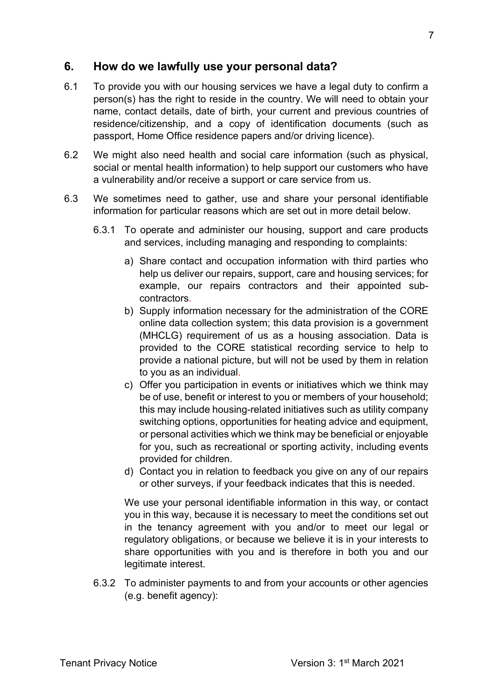#### **6. How do we lawfully use your personal data?**

- 6.1 To provide you with our housing services we have a legal duty to confirm a person(s) has the right to reside in the country. We will need to obtain your name, contact details, date of birth, your current and previous countries of residence/citizenship, and a copy of identification documents (such as passport, Home Office residence papers and/or driving licence).
- 6.2 We might also need health and social care information (such as physical, social or mental health information) to help support our customers who have a vulnerability and/or receive a support or care service from us.
- 6.3 We sometimes need to gather, use and share your personal identifiable information for particular reasons which are set out in more detail below.
	- 6.3.1 To operate and administer our housing, support and care products and services, including managing and responding to complaints:
		- a) Share contact and occupation information with third parties who help us deliver our repairs, support, care and housing services; for example, our repairs contractors and their appointed subcontractors.
		- b) Supply information necessary for the administration of the CORE online data collection system; this data provision is a government (MHCLG) requirement of us as a housing association. Data is provided to the CORE statistical recording service to help to provide a national picture, but will not be used by them in relation to you as an individual.
		- c) Offer you participation in events or initiatives which we think may be of use, benefit or interest to you or members of your household; this may include housing-related initiatives such as utility company switching options, opportunities for heating advice and equipment, or personal activities which we think may be beneficial or enjoyable for you, such as recreational or sporting activity, including events provided for children.
		- d) Contact you in relation to feedback you give on any of our repairs or other surveys, if your feedback indicates that this is needed.

We use your personal identifiable information in this way, or contact you in this way, because it is necessary to meet the conditions set out in the tenancy agreement with you and/or to meet our legal or regulatory obligations, or because we believe it is in your interests to share opportunities with you and is therefore in both you and our legitimate interest.

6.3.2 To administer payments to and from your accounts or other agencies (e.g. benefit agency):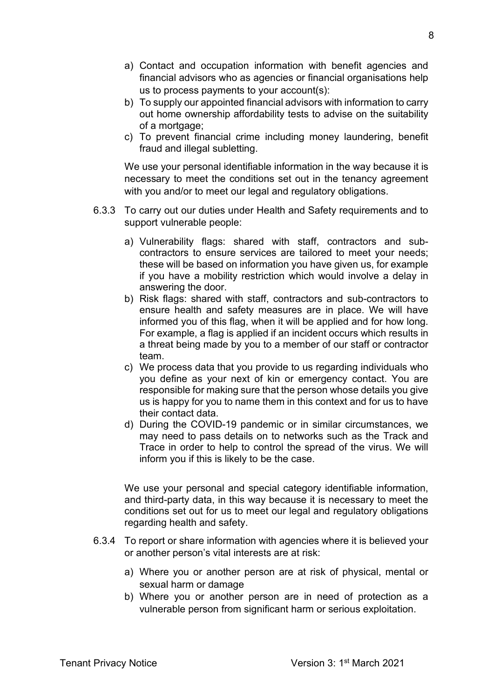- a) Contact and occupation information with benefit agencies and financial advisors who as agencies or financial organisations help us to process payments to your account(s):
- b) To supply our appointed financial advisors with information to carry out home ownership affordability tests to advise on the suitability of a mortgage;
- c) To prevent financial crime including money laundering, benefit fraud and illegal subletting.

We use your personal identifiable information in the way because it is necessary to meet the conditions set out in the tenancy agreement with you and/or to meet our legal and regulatory obligations.

- 6.3.3 To carry out our duties under Health and Safety requirements and to support vulnerable people:
	- a) Vulnerability flags: shared with staff, contractors and subcontractors to ensure services are tailored to meet your needs; these will be based on information you have given us, for example if you have a mobility restriction which would involve a delay in answering the door.
	- b) Risk flags: shared with staff, contractors and sub-contractors to ensure health and safety measures are in place. We will have informed you of this flag, when it will be applied and for how long. For example, a flag is applied if an incident occurs which results in a threat being made by you to a member of our staff or contractor team.
	- c) We process data that you provide to us regarding individuals who you define as your next of kin or emergency contact. You are responsible for making sure that the person whose details you give us is happy for you to name them in this context and for us to have their contact data.
	- d) During the COVID-19 pandemic or in similar circumstances, we may need to pass details on to networks such as the Track and Trace in order to help to control the spread of the virus. We will inform you if this is likely to be the case.

We use your personal and special category identifiable information, and third-party data, in this way because it is necessary to meet the conditions set out for us to meet our legal and regulatory obligations regarding health and safety.

- 6.3.4 To report or share information with agencies where it is believed your or another person's vital interests are at risk:
	- a) Where you or another person are at risk of physical, mental or sexual harm or damage
	- b) Where you or another person are in need of protection as a vulnerable person from significant harm or serious exploitation.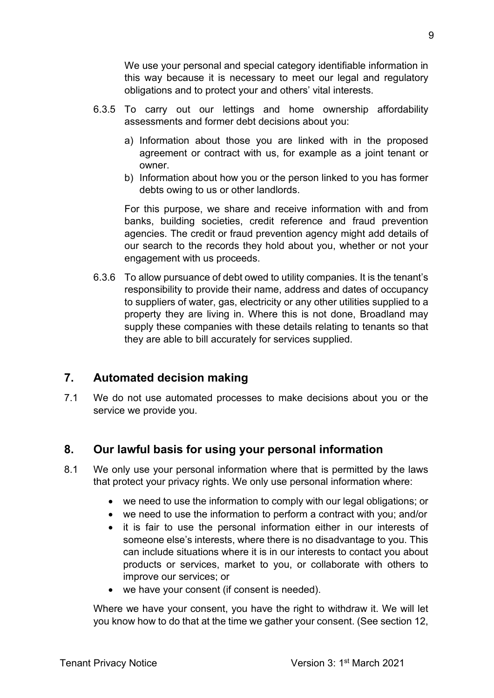We use your personal and special category identifiable information in this way because it is necessary to meet our legal and regulatory obligations and to protect your and others' vital interests.

- 6.3.5 To carry out our lettings and home ownership affordability assessments and former debt decisions about you:
	- a) Information about those you are linked with in the proposed agreement or contract with us, for example as a joint tenant or owner.
	- b) Information about how you or the person linked to you has former debts owing to us or other landlords.

For this purpose, we share and receive information with and from banks, building societies, credit reference and fraud prevention agencies. The credit or fraud prevention agency might add details of our search to the records they hold about you, whether or not your engagement with us proceeds.

6.3.6 To allow pursuance of debt owed to utility companies. It is the tenant's responsibility to provide their name, address and dates of occupancy to suppliers of water, gas, electricity or any other utilities supplied to a property they are living in. Where this is not done, Broadland may supply these companies with these details relating to tenants so that they are able to bill accurately for services supplied.

# **7. Automated decision making**

7.1 We do not use automated processes to make decisions about you or the service we provide you.

# **8. Our lawful basis for using your personal information**

- 8.1 We only use your personal information where that is permitted by the laws that protect your privacy rights. We only use personal information where:
	- we need to use the information to comply with our legal obligations; or
	- we need to use the information to perform a contract with you; and/or
	- it is fair to use the personal information either in our interests of someone else's interests, where there is no disadvantage to you. This can include situations where it is in our interests to contact you about products or services, market to you, or collaborate with others to improve our services; or
	- we have your consent (if consent is needed).

Where we have your consent, you have the right to withdraw it. We will let you know how to do that at the time we gather your consent. (See section 12,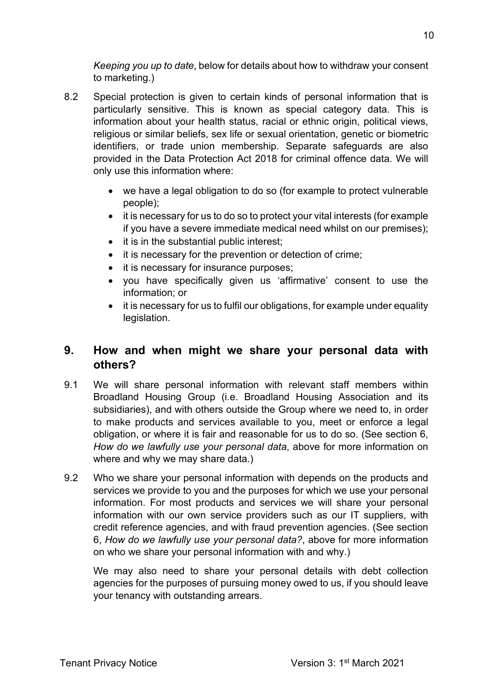*Keeping you up to date*, below for details about how to withdraw your consent to marketing.)

- 8.2 Special protection is given to certain kinds of personal information that is particularly sensitive. This is known as special category data. This is information about your health status, racial or ethnic origin, political views, religious or similar beliefs, sex life or sexual orientation, genetic or biometric identifiers, or trade union membership. Separate safeguards are also provided in the Data Protection Act 2018 for criminal offence data. We will only use this information where:
	- we have a legal obligation to do so (for example to protect vulnerable people);
	- it is necessary for us to do so to protect your vital interests (for example if you have a severe immediate medical need whilst on our premises);
	- it is in the substantial public interest;
	- it is necessary for the prevention or detection of crime;
	- it is necessary for insurance purposes;
	- you have specifically given us 'affirmative' consent to use the information; or
	- it is necessary for us to fulfil our obligations, for example under equality legislation.

# **9. How and when might we share your personal data with others?**

- 9.1 We will share personal information with relevant staff members within Broadland Housing Group (i.e. Broadland Housing Association and its subsidiaries), and with others outside the Group where we need to, in order to make products and services available to you, meet or enforce a legal obligation, or where it is fair and reasonable for us to do so. (See section 6, *How do we lawfully use your personal data*, above for more information on where and why we may share data.)
- 9.2 Who we share your personal information with depends on the products and services we provide to you and the purposes for which we use your personal information. For most products and services we will share your personal information with our own service providers such as our IT suppliers, with credit reference agencies, and with fraud prevention agencies. (See section 6, *How do we lawfully use your personal data?*, above for more information on who we share your personal information with and why.)

We may also need to share your personal details with debt collection agencies for the purposes of pursuing money owed to us, if you should leave your tenancy with outstanding arrears.